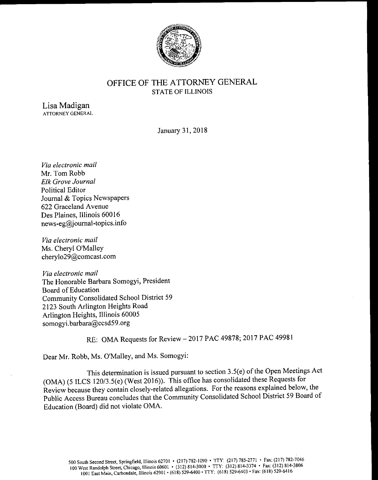

## OFFICE OF THE ATTORNEY GENERAL STATE OF ILLINOIS

Lisa Madigan ATTORNEY GENERAL

January 31, 2018

Via electronic mail Mr. Tom Robb Elk Grove Journal Political Editor Journal & Topics Newspapers 622 Graceland Avenue Des Plaines, Illinois 60016  $news-eg@journal-topics.info$ 

Via electronic mail Ms. Cheryl O'Malley cherylo29@comcast. com

Via electronic mail The Honorable Barbara Somogyi, President Board of Education Community Consolidated School District 59 2123 South Arlington Heights Road Arlington Heights, Illinois 60005 somogyi. barbara@ccsd59. org

## RE: OMA Requests for Review — 2017 PAC 49878; 2017 PAC 49981

Dear Mr. Robb, Ms. O'Malley, and Ms. Somogyi:

This determination is issued pursuant to section 3.5(e) of the Open Meetings Act (OMA) (5 ILCS 120/3.5(e) (West 2016)). This office has consolidated these Requests for Review because they contain closely -related allegations. For the reasons explained below, the Public Access Bureau concludes that the Community Consolidated School District 59 Board of Education (Board) did not violate OMA.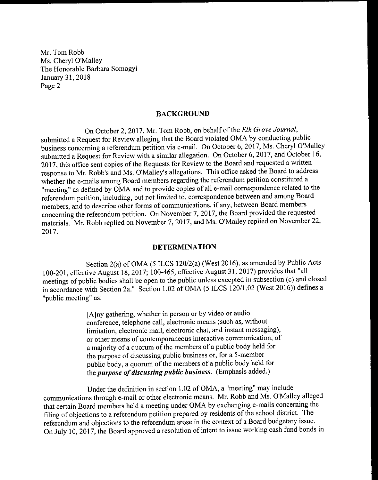## BACKGROUND

On October 2, 2017, Mr. Tom Robb, on behalf of the Elk Grove Journal, submitted a Request for Review alleging that the Board violated OMA by conducting public business concerning a referendum petition via e- mail. On October 6, 2017, Ms. Cheryl O'Malley submitted a Request for Review with a similar allegation. On October 6, 2017, and October 16, 2017, this office sent copies of the Requests for Review to the Board and requested a written response to Mr. Robb's and Ms. O'Malley's allegations. This office asked the Board to address whether the e-mails among Board members regarding the referendum petition constituted a "meeting" as defined by OMA and to provide copies of all e-mail correspondence related to the referendum petition, including, but not limited to, correspondence between and among Board members, and to describe other forms of communications, if any, between Board members concerning the referendum petition. On November 7, 2017, the Board provided the requested materials. Mr. Robb replied on November 7, 2017, and Ms. O'Malley replied on November 22, 2017.

## DETERMINATION

Section 2(a) of OMA (5 ILCS 120/2(a) (West 2016), as amended by Public Acts 100-201, effective August 18, 2017; 100-465, effective August 31, 2017) provides that "all meetings of public bodies shall be open to the public unless excepted in subsection (c) and closed in accordance with Section 2a." Section 1.02 of OMA (5 ILCS 120/1.02 (West 2016)) defines a "public meeting" as:

> A] ny gathering, whether in person or by video or audio conference, telephone call, electronic means ( such as, without limitation, electronic mail, electronic chat, and instant messaging), or other means of contemporaneous interactive communication, of a majority of a quorum of the members of a public body held for the purpose of discussing public business or, for <sup>a</sup> 5 - member public body, a quorum of the members of <sup>a</sup> public body held for the *purpose of discussing public business*. (Emphasis added.)

Under the definition in section 1. 02 of OMA, a " meeting" may include communications through e-mail or other electronic means. Mr. Robb and Ms. O'Malley alleged that certain Board members held a meeting under OMA by exchanging e- mails concerning the filing of objections to <sup>a</sup> referendum petition prepared by residents of the school district. The referendum and objections to the referendum arose in the context of <sup>a</sup> Board budgetary issue. On July 10, 2017, the Board approved <sup>a</sup> resolution of intent to issue working cash fund bonds in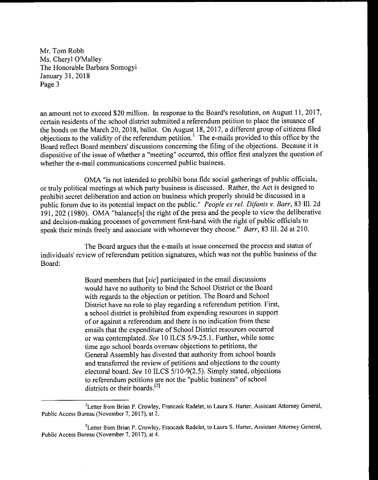an amount not to exceed \$20 million. In response to the Board's resolution, on August 11, 2017, certain residents of the school district submitted a referendum petition to place the issuance of the bonds on the March 20, 2018, ballot. On August 18, 2017, a different group of citizens filed objections to the validity of the referendum petition.' The e- mails provided to this office by the Board reflect Board members' discussions concerning the filing of the objections. Because it is dispositive of the issue of whether a " meeting" occurred, this office first analyzes the question of whether the e-mail communications concerned public business.

OMA " is not intended to prohibit bona fide social gatherings of public officials, or truly political meetings at which party business is discussed. Rather, the Act is designed to prohibit secret deliberation and action on business which properly should be discussed in a public forum due to its potential impact on the public." People ex rel. Difanis v. Barr, 83 Ill. 2d 191, 202 (1980). OMA "balance<sup>[s]</sup> the right of the press and the people to view the deliberative and decision- making processes of government first-hand with the right of public officials to speak their minds freely and associate with whomever they choose." Barr, 83 I11. 2d at 210.

The Board argues that the e-mails at issue concerned the process and status of individuals' review of referendum petition signatures, which was not the public business of the Board:

> Board members that  $[sic]$  participated in the email discussions would have no authority to bind the School District or the Board with regards to the objection or petition. The Board and School District have no role to play regarding a referendum petition. First, a school district is prohibited from expending resources in support of or against <sup>a</sup> referendum and there is no indication from these emails that the expenditure of School District resources occurred or was contemplated. See 10 ILCS 5/9-25.1. Further, while some time ago school boards oversaw objections to petitions, the General Assembly has divested that authority from school boards and transferred the review of petitions and objections to the county electoral board. See 10 ILCS 5/10-9(2.5). Simply stated, objections to referendum petitions are not the " public business" of school districts or their boards.<sup>[2]</sup>

Letter from Brian P. Crowley, Franczek Radelet, to Laura S. Harter, Assistant Attorney General, Public Access Bureau ( November 7, 2017), at 2.

<sup>&</sup>lt;sup>2</sup>Letter from Brian P. Crowley, Franczek Radelet, to Laura S. Harter, Assistant Attorney General Public Access Bureau ( November 7, 2017), at 4.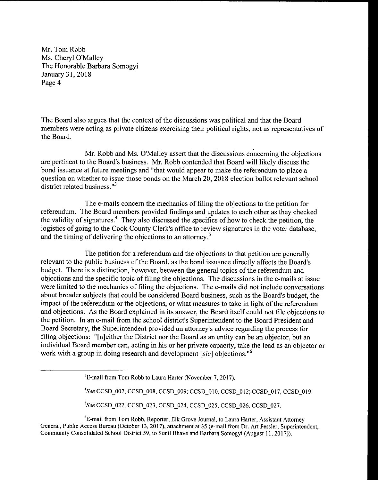The Board also argues that the context of the discussions was political and that the Board members were acting as private citizens exercising their political rights, not as representatives of the Board.

Mr. Robb and Ms. O'Malley assert that the discussions concerning the objections are pertinent to the Board's business. Mr. Robb contended that Board will likely discuss the bond issuance at future meetings and " that would appear to make the referendum to place a question on whether to issue those bonds on the March 20, 2018 election ballot relevant school district related business."<sup>3</sup>

The e- mails concern the mechanics of filing the objections to the petition for referendum. The Board members provided findings and updates to each other as they checked the validity of signatures.° They also discussed the specifics of how to check the petition, the logistics of going to the Cook County Clerk's office to review signatures in the voter database, and the timing of delivering the objections to an attorney.<sup>5</sup>

The petition for a referendum and the objections to that petition are generally relevant to the public business of the Board, as the bond issuance directly affects the Board's budget. There is a distinction, however, between the general topics of the referendum and objections and the specific topic of filing the objections. The discussions in the e- mails at issue were limited to the mechanics of filing the objections. The e-mails did not include conversations about broader subjects that could be considered Board business, such as the Board's budget, the impact of the referendum or the objections, or what measures to take in light of the referendum and objections. As the Board explained in its answer, the Board itself could not file objections to the petition. In an e-mail from the school district's Superintendent to the Board President and Board Secretary, the Superintendent provided an attorney's advice regarding the process for filing objections: "[n] either the District nor the Board as an entity can be an objector, but an individual Board member can, acting in his or her private capacity, take the lead as an objector or work with a group in doing research and development [sic] objections.<sup>16</sup>

4See CCSD\_007, CCSD\_008, CCSD\_009; CCSD\_010, CCSD\_012; CCSD\_017, CCSD\_019.

<sup>5</sup>See CCSD 022, CCSD 023, CCSD 024, CCSD 025, CCSD 026, CCSD 027.

<sup>6</sup>E-mail from Tom Robb, Reporter, Elk Grove Journal, to Laura Harter, Assistant Attorney General, Public Access Bureau (October 13, 2017), attachment at 35 (e-mail from Dr. Art Fessler, Superintendent, Community Consolidated School District 59, to Sunil Bhave and Barbara Somogyi ( August 11, 2017)).

 $3E$ -mail from Tom Robb to Laura Harter (November 7, 2017).